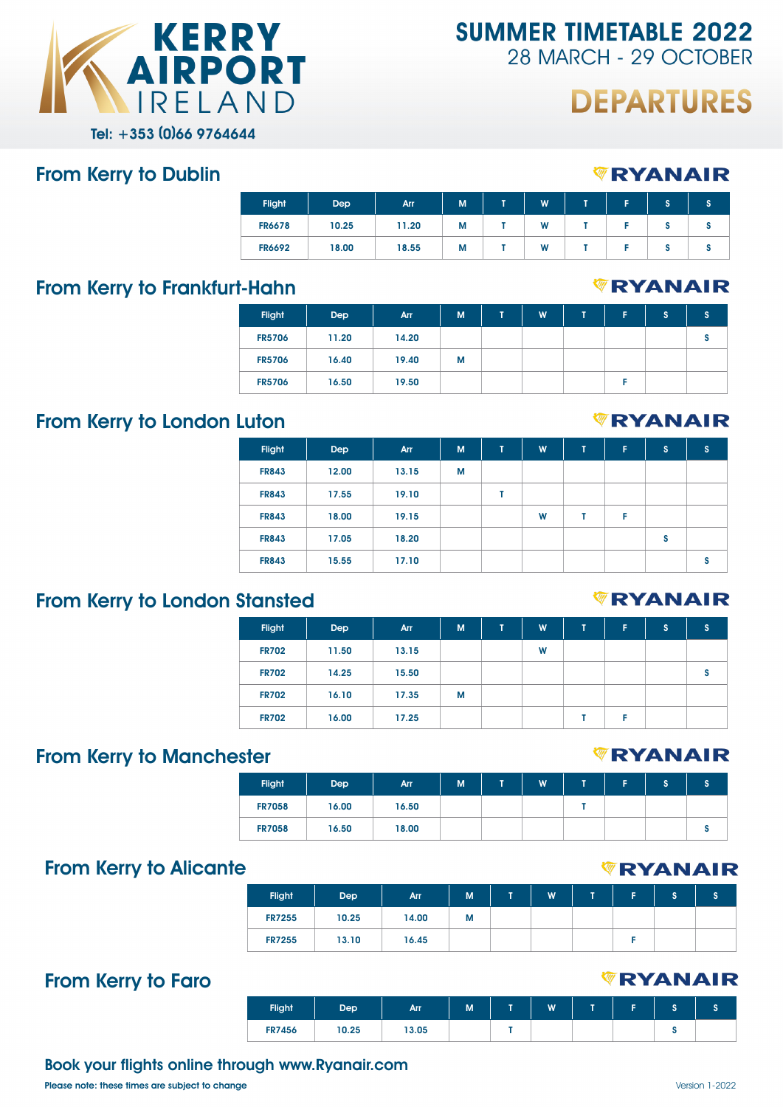

**SUMMER TIMETABLE 2022** 28 MARCH - 29 OCTOBER

# **DEPARTURES**

*WRYANAIR* 

#### From Kerry to Dublin

| <b>Flight</b> | Dep   | Arr   | M | œ | W | - | Е | S | s |
|---------------|-------|-------|---|---|---|---|---|---|---|
| <b>FR6678</b> | 10.25 | 11.20 | М |   | W |   |   | o |   |
| <b>FR6692</b> | 18.00 | 18.55 | М |   | W |   |   |   |   |

### From Kerry to Frankfurt-Hahn

### *VRYANAIR*

*WRYANAIR* 

| <b>Flight</b> | <b>Dep</b> | Arr   | M | T. | W | т | c | s | s |
|---------------|------------|-------|---|----|---|---|---|---|---|
| <b>FR5706</b> | 11.20      | 14.20 |   |    |   |   |   |   |   |
| <b>FR5706</b> | 16.40      | 19.40 | М |    |   |   |   |   |   |
| <b>FR5706</b> | 16.50      | 19.50 |   |    |   |   |   |   |   |

### From Kerry to London Luton

| <b>Flight</b> | Dep   | Arr   | M | T | W | T | F | 'S | s |
|---------------|-------|-------|---|---|---|---|---|----|---|
| <b>FR843</b>  | 12.00 | 13.15 | М |   |   |   |   |    |   |
| <b>FR843</b>  | 17.55 | 19.10 |   |   |   |   |   |    |   |
| <b>FR843</b>  | 18.00 | 19.15 |   |   | W |   | F |    |   |
| <b>FR843</b>  | 17.05 | 18.20 |   |   |   |   |   | S  |   |
| <b>FR843</b>  | 15.55 | 17.10 |   |   |   |   |   |    | s |

## From Kerry to London Stansted

| <b>Flight</b> | <b>Dep</b> | Arr   | M | T. | W | т | F | s | s |
|---------------|------------|-------|---|----|---|---|---|---|---|
| <b>FR702</b>  | 11.50      | 13.15 |   |    | W |   |   |   |   |
| <b>FR702</b>  | 14.25      | 15.50 |   |    |   |   |   |   | s |
| <b>FR702</b>  | 16.10      | 17.35 | М |    |   |   |   |   |   |
| <b>FR702</b>  | 16.00      | 17.25 |   |    |   |   | E |   |   |

## From Kerry to Manchester

| <b>Flight</b> | Dep   | Arr   | M | ٠ | W | - | ∍ | ы. |
|---------------|-------|-------|---|---|---|---|---|----|
| <b>FR7058</b> | 16.00 | 16.50 |   |   |   |   |   |    |
| <b>FR7058</b> | 16.50 | 18.00 |   |   |   |   |   |    |

## From Kerry to Alicante

| <b>Flight</b> | Dep   | <b>Arr</b> | M | W | - | Е | e<br>o |  |
|---------------|-------|------------|---|---|---|---|--------|--|
| <b>FR7255</b> | 10.25 | 14.00      | M |   |   |   |        |  |
| <b>FR7255</b> | 13.10 | 16.45      |   |   |   |   |        |  |

## From Kerry to Faro

#### *<b>WRYANAIR*

| <b>Flight</b> | Dep   | <b>Arr</b> | M | W | н |  |
|---------------|-------|------------|---|---|---|--|
| <b>FR7456</b> | 10.25 | 13.05      |   |   |   |  |

#### Book your flights online through www.Ryanair.com

Please note: these times are subject to change  $Version 1-2022$ 

#### *WRYANAIR*

# *<b>WRYANAIR*



*<b>WRYANAIR*